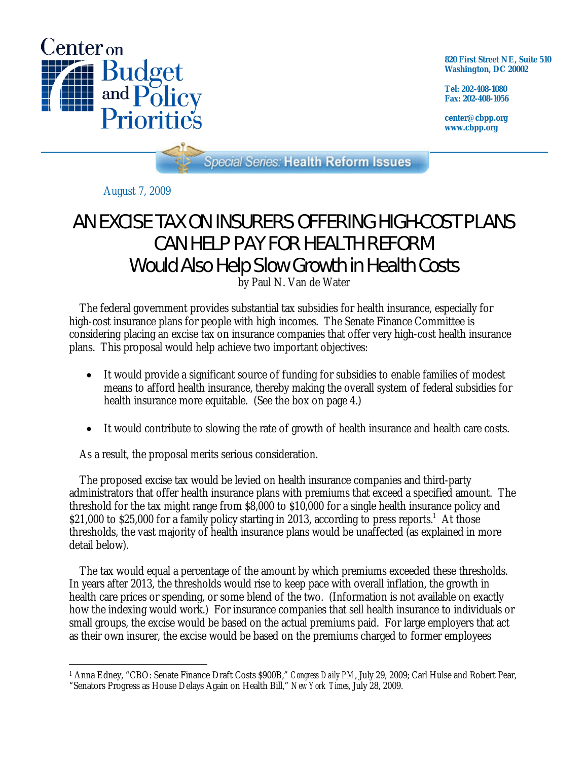

**820 First Street NE, Suite 510 Washington, DC 20002** 

**Tel: 202-408-1080 Fax: 202-408-1056** 

**center@cbpp.org www.cbpp.org** 

Special Series: Health Reform Issues

August 7, 2009

## AN EXCISE TAX ON INSURERS OFFERING HIGH-COST PLANS CAN HELP PAY FOR HEALTH REFORM Would Also Help Slow Growth in Health Costs

by Paul N. Van de Water

 The federal government provides substantial tax subsidies for health insurance, especially for high-cost insurance plans for people with high incomes. The Senate Finance Committee is considering placing an excise tax on insurance companies that offer very high-cost health insurance plans. This proposal would help achieve two important objectives:

- It would provide a significant source of funding for subsidies to enable families of modest means to afford health insurance, thereby making the overall system of federal subsidies for health insurance more equitable. (See the box on page 4.)
- It would contribute to slowing the rate of growth of health insurance and health care costs.

As a result, the proposal merits serious consideration.

 The proposed excise tax would be levied on health insurance companies and third-party administrators that offer health insurance plans with premiums that exceed a specified amount. The threshold for the tax might range from \$8,000 to \$10,000 for a single health insurance policy and \$21,000 to \$25,000 for a family policy starting in 2013, according to press reports.<sup>1</sup> At those thresholds, the vast majority of health insurance plans would be unaffected (as explained in more detail below).

 The tax would equal a percentage of the amount by which premiums exceeded these thresholds. In years after 2013, the thresholds would rise to keep pace with overall inflation, the growth in health care prices or spending, or some blend of the two. (Information is not available on exactly how the indexing would work.) For insurance companies that sell health insurance to individuals or small groups, the excise would be based on the actual premiums paid. For large employers that act as their own insurer, the excise would be based on the premiums charged to former employees

 $\overline{a}$ <sup>1</sup> Anna Edney, "CBO: Senate Finance Draft Costs \$900B," *Congress Daily PM*, July 29, 2009; Carl Hulse and Robert Pear, "Senators Progress as House Delays Again on Health Bill," *New York Times*, July 28, 2009.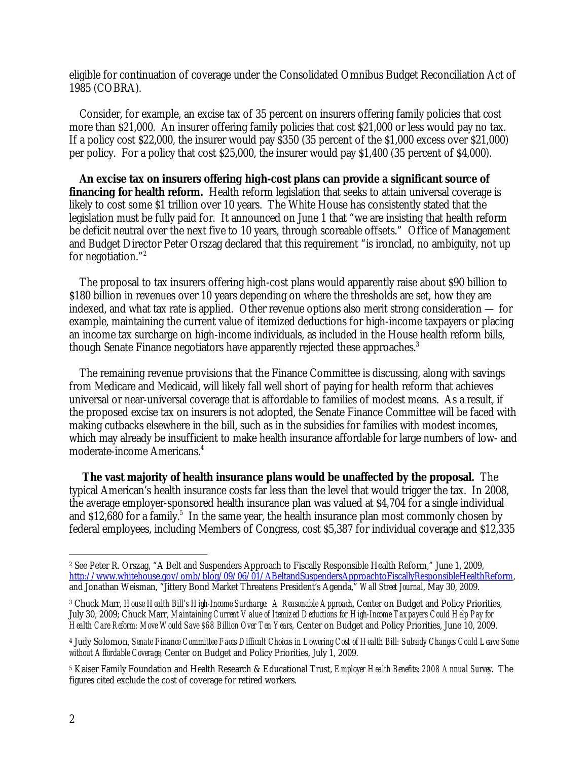eligible for continuation of coverage under the Consolidated Omnibus Budget Reconciliation Act of 1985 (COBRA).

 Consider, for example, an excise tax of 35 percent on insurers offering family policies that cost more than \$21,000. An insurer offering family policies that cost \$21,000 or less would pay no tax. If a policy cost \$22,000, the insurer would pay \$350 (35 percent of the \$1,000 excess over \$21,000) per policy. For a policy that cost \$25,000, the insurer would pay \$1,400 (35 percent of \$4,000).

**An excise tax on insurers offering high-cost plans can provide a significant source of financing for health reform.** Health reform legislation that seeks to attain universal coverage is likely to cost some \$1 trillion over 10 years. The White House has consistently stated that the legislation must be fully paid for. It announced on June 1 that "we are insisting that health reform be deficit neutral over the next five to 10 years, through scoreable offsets." Office of Management and Budget Director Peter Orszag declared that this requirement "is ironclad, no ambiguity, not up for negotiation."2

 The proposal to tax insurers offering high-cost plans would apparently raise about \$90 billion to \$180 billion in revenues over 10 years depending on where the thresholds are set, how they are indexed, and what tax rate is applied. Other revenue options also merit strong consideration — for example, maintaining the current value of itemized deductions for high-income taxpayers or placing an income tax surcharge on high-income individuals, as included in the House health reform bills, though Senate Finance negotiators have apparently rejected these approaches.<sup>3</sup>

 The remaining revenue provisions that the Finance Committee is discussing, along with savings from Medicare and Medicaid, will likely fall well short of paying for health reform that achieves universal or near-universal coverage that is affordable to families of modest means. As a result, if the proposed excise tax on insurers is not adopted, the Senate Finance Committee will be faced with making cutbacks elsewhere in the bill, such as in the subsidies for families with modest incomes, which may already be insufficient to make health insurance affordable for large numbers of low- and moderate-income Americans.4

 **The vast majority of health insurance plans would be unaffected by the proposal.** The typical American's health insurance costs far less than the level that would trigger the tax. In 2008, the average employer-sponsored health insurance plan was valued at \$4,704 for a single individual and \$12,680 for a family.<sup>5</sup> In the same year, the health insurance plan most commonly chosen by federal employees, including Members of Congress, cost \$5,387 for individual coverage and \$12,335

 $\overline{a}$ 

<sup>2</sup> See Peter R. Orszag, "A Belt and Suspenders Approach to Fiscally Responsible Health Reform," June 1, 2009, http://www.whitehouse.gov/omb/blog/09/06/01/ABeltandSuspendersApproachtoFiscallyResponsibleHealthReform, and Jonathan Weisman, "Jittery Bond Market Threatens President's Agenda," *Wall Street Journal*, May 30, 2009.

<sup>3</sup> Chuck Marr, *House Health Bill's High-Income Surcharge: A Reasonable Approach*, Center on Budget and Policy Priorities, July 30, 2009; Chuck Marr, *Maintaining Current Value of Itemized Deductions for High-Income Taxpayers Could Help Pay for Health Care Reform: Move Would Save \$68 Billion Over Ten Years,* Center on Budget and Policy Priorities, June 10, 2009.

<sup>4</sup> Judy Solomon, *Senate Finance Committee Faces Difficult Choices in Lowering Cost of Health Bill: Subsidy Changes Could Leave Some without Affordable Coverage,* Center on Budget and Policy Priorities, July 1, 2009.

<sup>5</sup> Kaiser Family Foundation and Health Research & Educational Trust, *Employer Health Benefits: 2008 Annual Survey*. The figures cited exclude the cost of coverage for retired workers.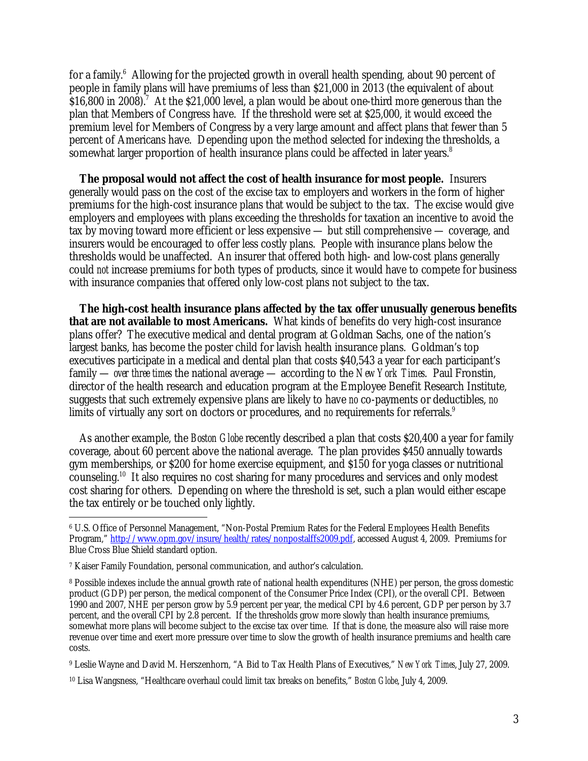for a family.<sup>6</sup> Allowing for the projected growth in overall health spending, about 90 percent of people in family plans will have premiums of less than \$21,000 in 2013 (the equivalent of about  $$16,800$  in 2008).<sup>7</sup> At the \$21,000 level, a plan would be about one-third more generous than the plan that Members of Congress have. If the threshold were set at \$25,000, it would exceed the premium level for Members of Congress by a very large amount and affect plans that fewer than 5 percent of Americans have. Depending upon the method selected for indexing the thresholds, a somewhat larger proportion of health insurance plans could be affected in later years.<sup>8</sup>

**The proposal would not affect the cost of health insurance for most people.** Insurers generally would pass on the cost of the excise tax to employers and workers in the form of higher premiums for the high-cost insurance plans that would be subject to the tax. The excise would give employers and employees with plans exceeding the thresholds for taxation an incentive to avoid the tax by moving toward more efficient or less expensive — but still comprehensive — coverage, and insurers would be encouraged to offer less costly plans. People with insurance plans below the thresholds would be unaffected. An insurer that offered both high- and low-cost plans generally could *not* increase premiums for both types of products, since it would have to compete for business with insurance companies that offered only low-cost plans not subject to the tax.

**The high-cost health insurance plans affected by the tax offer unusually generous benefits that are not available to most Americans.** What kinds of benefits do very high-cost insurance plans offer? The executive medical and dental program at Goldman Sachs, one of the nation's largest banks, has become the poster child for lavish health insurance plans. Goldman's top executives participate in a medical and dental plan that costs \$40,543 a year for each participant's family — *over three times* the national average — according to the *New York Times*. Paul Fronstin, director of the health research and education program at the Employee Benefit Research Institute, suggests that such extremely expensive plans are likely to have *no* co-payments or deductibles, *no* limits of virtually any sort on doctors or procedures, and *no* requirements for referrals.<sup>9</sup>

 As another example, the *Boston Globe* recently described a plan that costs \$20,400 a year for family coverage, about 60 percent above the national average. The plan provides \$450 annually towards gym memberships, or \$200 for home exercise equipment, and \$150 for yoga classes or nutritional counseling.10 It also requires no cost sharing for many procedures and services and only modest cost sharing for others. Depending on where the threshold is set, such a plan would either escape the tax entirely or be touched only lightly.

-

9 Leslie Wayne and David M. Herszenhorn, "A Bid to Tax Health Plans of Executives," *New York Times*, July 27, 2009.

<sup>6</sup> U.S. Office of Personnel Management, "Non-Postal Premium Rates for the Federal Employees Health Benefits Program," http://www.opm.gov/insure/health/rates/nonpostalffs2009.pdf, accessed August 4, 2009. Premiums for Blue Cross Blue Shield standard option.

<sup>7</sup> Kaiser Family Foundation, personal communication, and author's calculation.

<sup>8</sup> Possible indexes include the annual growth rate of national health expenditures (NHE) per person, the gross domestic product (GDP) per person, the medical component of the Consumer Price Index (CPI), or the overall CPI. Between 1990 and 2007, NHE per person grow by 5.9 percent per year, the medical CPI by 4.6 percent, GDP per person by 3.7 percent, and the overall CPI by 2.8 percent. If the thresholds grow more slowly than health insurance premiums, somewhat more plans will become subject to the excise tax over time. If that is done, the measure also will raise more revenue over time and exert more pressure over time to slow the growth of health insurance premiums and health care costs.

<sup>10</sup> Lisa Wangsness, "Healthcare overhaul could limit tax breaks on benefits," *Boston Globe*, July 4, 2009.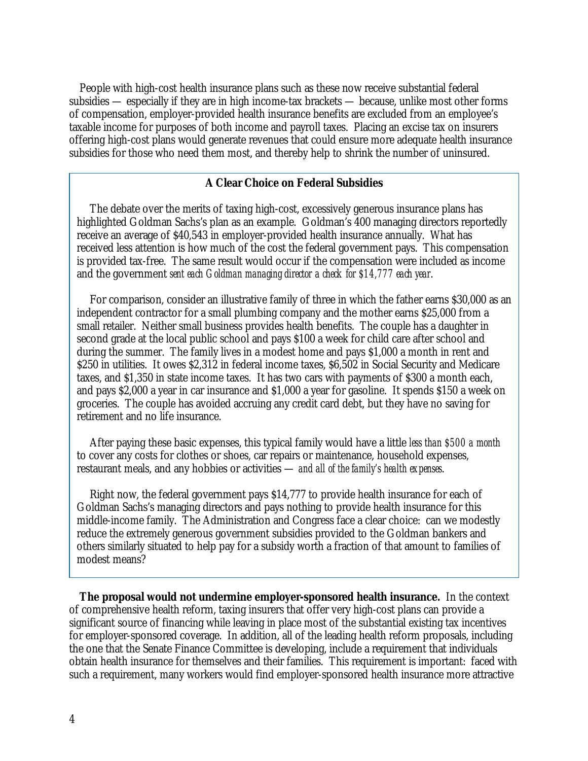People with high-cost health insurance plans such as these now receive substantial federal subsidies — especially if they are in high income-tax brackets — because, unlike most other forms of compensation, employer-provided health insurance benefits are excluded from an employee's taxable income for purposes of both income and payroll taxes. Placing an excise tax on insurers offering high-cost plans would generate revenues that could ensure more adequate health insurance subsidies for those who need them most, and thereby help to shrink the number of uninsured.

## **A Clear Choice on Federal Subsidies**

The debate over the merits of taxing high-cost, excessively generous insurance plans has highlighted Goldman Sachs's plan as an example. Goldman's 400 managing directors reportedly receive an average of \$40,543 in employer-provided health insurance annually. What has received less attention is how much of the cost the federal government pays. This compensation is provided tax-free. The same result would occur if the compensation were included as income and the government *sent each Goldman managing director a check for \$14,777 each year*.

For comparison, consider an illustrative family of three in which the father earns \$30,000 as an independent contractor for a small plumbing company and the mother earns \$25,000 from a small retailer. Neither small business provides health benefits. The couple has a daughter in second grade at the local public school and pays \$100 a week for child care after school and during the summer. The family lives in a modest home and pays \$1,000 a month in rent and \$250 in utilities. It owes \$2,312 in federal income taxes, \$6,502 in Social Security and Medicare taxes, and \$1,350 in state income taxes. It has two cars with payments of \$300 a month each, and pays \$2,000 a year in car insurance and \$1,000 a year for gasoline. It spends \$150 a week on groceries. The couple has avoided accruing any credit card debt, but they have no saving for retirement and no life insurance.

After paying these basic expenses, this typical family would have a little *less than \$500 a month* to cover any costs for clothes or shoes, car repairs or maintenance, household expenses, restaurant meals, and any hobbies or activities — *and all of the family's health expenses*.

Right now, the federal government pays \$14,777 to provide health insurance for each of Goldman Sachs's managing directors and pays nothing to provide health insurance for this middle-income family. The Administration and Congress face a clear choice: can we modestly reduce the extremely generous government subsidies provided to the Goldman bankers and others similarly situated to help pay for a subsidy worth a fraction of that amount to families of modest means?

**The proposal would not undermine employer-sponsored health insurance.** In the context of comprehensive health reform, taxing insurers that offer very high-cost plans can provide a significant source of financing while leaving in place most of the substantial existing tax incentives for employer-sponsored coverage. In addition, all of the leading health reform proposals, including the one that the Senate Finance Committee is developing, include a requirement that individuals obtain health insurance for themselves and their families. This requirement is important: faced with such a requirement, many workers would find employer-sponsored health insurance more attractive